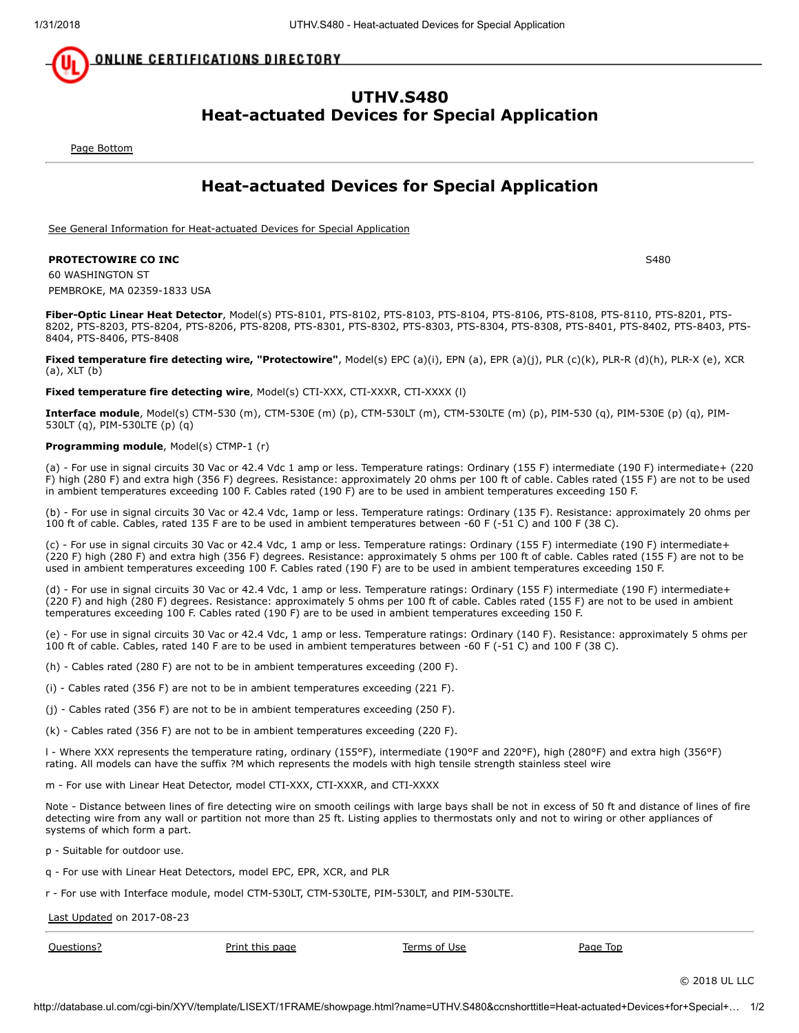<u>ONLINE CERTIFICATIONS DIRECTORY</u>

# UTHV.S480 Heat-actuated Devices for Special Application

<span id="page-0-1"></span>[Page Bottom](#page-0-0)

# Heat-actuated Devices for Special Application

[See General Information for Heat-actuated Devices for Special Application](http://database.ul.com/cgi-bin/XYV/template/LISEXT/1FRAME/showpage.html?&name=UTHV.GuideInfo&ccnshorttitle=Heat-actuated+Devices+for+Special+Application&objid=1074303742&cfgid=1073741824&version=versionless&parent_id=1073994268&sequence=1)

### **PROTECTOWIRE CO INC** S480

60 WASHINGTON ST PEMBROKE, MA 02359-1833 USA

Fiber-Optic Linear Heat Detector, Model(s) PTS-8101, PTS-8102, PTS-8103, PTS-8104, PTS-8106, PTS-8108, PTS-8110, PTS-8201, PTS-8202, PTS-8203, PTS-8204, PTS-8206, PTS-8208, PTS-8301, PTS-8302, PTS-8303, PTS-8304, PTS-8308, PTS-8401, PTS-8402, PTS-8403, PTS-8404, PTS-8406, PTS-8408

Fixed temperature fire detecting wire, "Protectowire", Model(s) EPC (a)(i), EPN (a), EPR (a)(j), PLR (c)(k), PLR-R (d)(h), PLR-X (e), XCR (a), XLT (b)

### Fixed temperature fire detecting wire, Model(s) CTI-XXX, CTI-XXXR, CTI-XXXX (l)

Interface module, Model(s) CTM-530 (m), CTM-530E (m) (p), CTM-530LT (m), CTM-530LTE (m) (p), PIM-530 (q), PIM-530E (p) (q), PIM-530LT (q), PIM-530LTE (p) (q)

### Programming module, Model(s) CTMP-1 (r)

(a) - For use in signal circuits 30 Vac or 42.4 Vdc 1 amp or less. Temperature ratings: Ordinary (155 F) intermediate (190 F) intermediate+ (220 F) high (280 F) and extra high (356 F) degrees. Resistance: approximately 20 ohms per 100 ft of cable. Cables rated (155 F) are not to be used in ambient temperatures exceeding 100 F. Cables rated (190 F) are to be used in ambient temperatures exceeding 150 F.

(b) - For use in signal circuits 30 Vac or 42.4 Vdc, 1amp or less. Temperature ratings: Ordinary (135 F). Resistance: approximately 20 ohms per 100 ft of cable. Cables, rated 135 F are to be used in ambient temperatures between -60 F (-51 C) and 100 F (38 C).

(c) - For use in signal circuits 30 Vac or 42.4 Vdc, 1 amp or less. Temperature ratings: Ordinary (155 F) intermediate (190 F) intermediate+ (220 F) high (280 F) and extra high (356 F) degrees. Resistance: approximately 5 ohms per 100 ft of cable. Cables rated (155 F) are not to be used in ambient temperatures exceeding 100 F. Cables rated (190 F) are to be used in ambient temperatures exceeding 150 F.

(d) - For use in signal circuits 30 Vac or 42.4 Vdc, 1 amp or less. Temperature ratings: Ordinary (155 F) intermediate (190 F) intermediate+ (220 F) and high (280 F) degrees. Resistance: approximately 5 ohms per 100 ft of cable. Cables rated (155 F) are not to be used in ambient temperatures exceeding 100 F. Cables rated (190 F) are to be used in ambient temperatures exceeding 150 F.

(e) - For use in signal circuits 30 Vac or 42.4 Vdc, 1 amp or less. Temperature ratings: Ordinary (140 F). Resistance: approximately 5 ohms per 100 ft of cable. Cables, rated 140 F are to be used in ambient temperatures between -60 F (-51 C) and 100 F (38 C).

(h) - Cables rated (280 F) are not to be in ambient temperatures exceeding (200 F).

(i) - Cables rated (356 F) are not to be in ambient temperatures exceeding (221 F).

(j) - Cables rated (356 F) are not to be in ambient temperatures exceeding (250 F).

(k) - Cables rated (356 F) are not to be in ambient temperatures exceeding (220 F).

l - Where XXX represents the temperature rating, ordinary (155°F), intermediate (190°F and 220°F), high (280°F) and extra high (356°F) rating. All models can have the suffix ?M which represents the models with high tensile strength stainless steel wire

m - For use with Linear Heat Detector, model CTI-XXX, CTI-XXXR, and CTI-XXXX

Note - Distance between lines of fire detecting wire on smooth ceilings with large bays shall be not in excess of 50 ft and distance of lines of fire detecting wire from any wall or partition not more than 25 ft. Listing applies to thermostats only and not to wiring or other appliances of systems of which form a part.

p - Suitable for outdoor use.

q - For use with Linear Heat Detectors, model EPC, EPR, XCR, and PLR

r - For use with Interface module, model CTM-530LT, CTM-530LTE, PIM-530LT, and PIM-530LTE.

[Last Updated](javascript:openit() on 2017-08-23

[Questions?](http://database.ul.com/cgi-bin/XYV/template/LISEXT/1FRAME/gassist.html) [Print this page](javascript:window.print()) [Terms of Use](http://database.ul.com/cgi-bin/XYV/template/LISEXT/1FRAME/terms_of_use.html) [Page Top](#page-0-1)

<span id="page-0-0"></span>